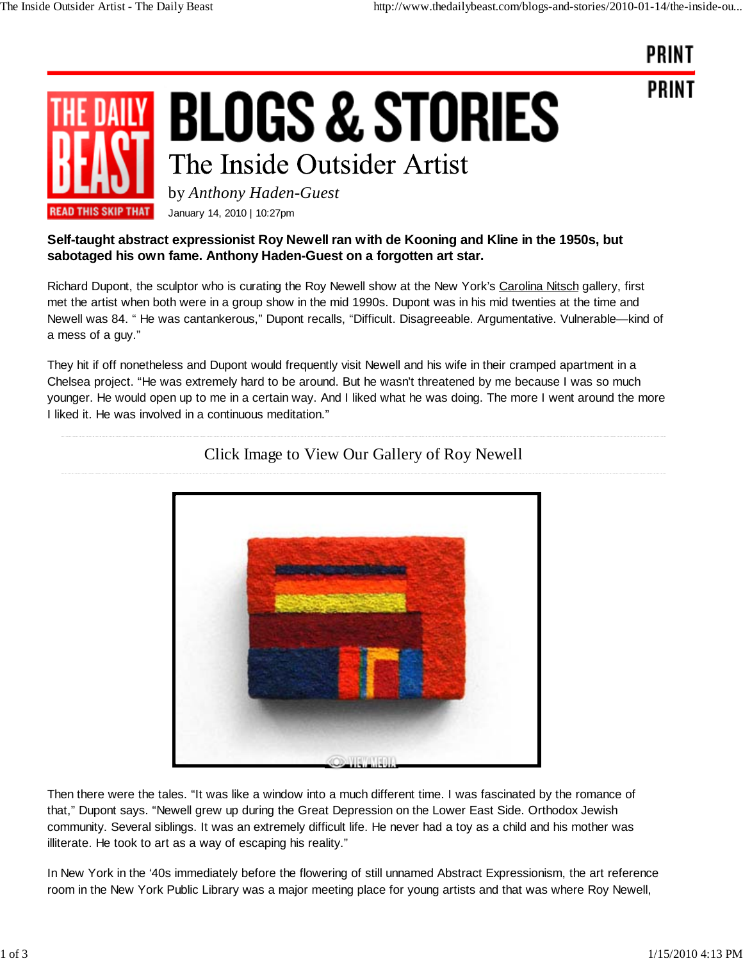

**BLOGS & STORIES** The Inside Outsider Artist

by *Anthony Haden-Guest*

**READ THIS SKIP THAT** January 14, 2010 | 10:27pm

## **Self-taught abstract expressionist Roy Newell ran with de Kooning and Kline in the 1950s, but sabotaged his own fame. Anthony Haden-Guest on a forgotten art star.**

Richard Dupont, the sculptor who is curating the Roy Newell show at the New York's Carolina Nitsch gallery, first met the artist when both were in a group show in the mid 1990s. Dupont was in his mid twenties at the time and Newell was 84. " He was cantankerous," Dupont recalls, "Difficult. Disagreeable. Argumentative. Vulnerable—kind of a mess of a guy."

They hit if off nonetheless and Dupont would frequently visit Newell and his wife in their cramped apartment in a Chelsea project. "He was extremely hard to be around. But he wasn't threatened by me because I was so much younger. He would open up to me in a certain way. And I liked what he was doing. The more I went around the more I liked it. He was involved in a continuous meditation."



## Click Image to View Our Gallery of Roy Newell

Then there were the tales. "It was like a window into a much different time. I was fascinated by the romance of that," Dupont says. "Newell grew up during the Great Depression on the Lower East Side. Orthodox Jewish community. Several siblings. It was an extremely difficult life. He never had a toy as a child and his mother was illiterate. He took to art as a way of escaping his reality."

In New York in the '40s immediately before the flowering of still unnamed Abstract Expressionism, the art reference room in the New York Public Library was a major meeting place for young artists and that was where Roy Newell,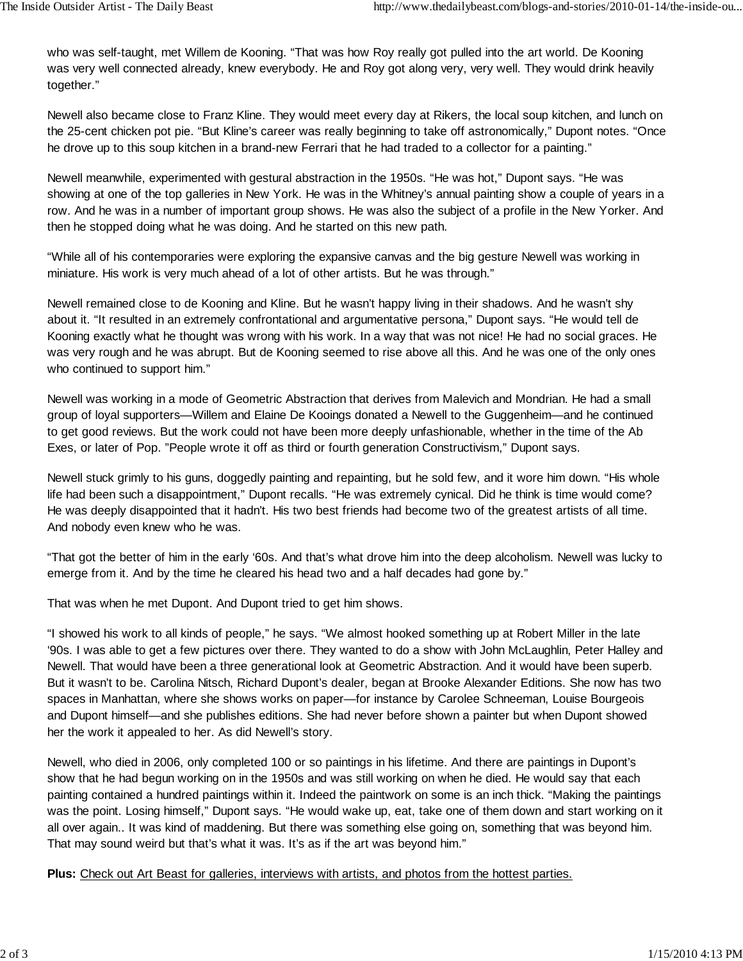who was self-taught, met Willem de Kooning. "That was how Roy really got pulled into the art world. De Kooning was very well connected already, knew everybody. He and Roy got along very, very well. They would drink heavily together."

Newell also became close to Franz Kline. They would meet every day at Rikers, the local soup kitchen, and lunch on the 25-cent chicken pot pie. "But Kline's career was really beginning to take off astronomically," Dupont notes. "Once he drove up to this soup kitchen in a brand-new Ferrari that he had traded to a collector for a painting."

Newell meanwhile, experimented with gestural abstraction in the 1950s. "He was hot," Dupont says. "He was showing at one of the top galleries in New York. He was in the Whitney's annual painting show a couple of years in a row. And he was in a number of important group shows. He was also the subject of a profile in the New Yorker. And then he stopped doing what he was doing. And he started on this new path.

"While all of his contemporaries were exploring the expansive canvas and the big gesture Newell was working in miniature. His work is very much ahead of a lot of other artists. But he was through."

Newell remained close to de Kooning and Kline. But he wasn't happy living in their shadows. And he wasn't shy about it. "It resulted in an extremely confrontational and argumentative persona," Dupont says. "He would tell de Kooning exactly what he thought was wrong with his work. In a way that was not nice! He had no social graces. He was very rough and he was abrupt. But de Kooning seemed to rise above all this. And he was one of the only ones who continued to support him."

Newell was working in a mode of Geometric Abstraction that derives from Malevich and Mondrian. He had a small group of loyal supporters—Willem and Elaine De Kooings donated a Newell to the Guggenheim—and he continued to get good reviews. But the work could not have been more deeply unfashionable, whether in the time of the Ab Exes, or later of Pop. "People wrote it off as third or fourth generation Constructivism," Dupont says.

Newell stuck grimly to his guns, doggedly painting and repainting, but he sold few, and it wore him down. "His whole life had been such a disappointment," Dupont recalls. "He was extremely cynical. Did he think is time would come? He was deeply disappointed that it hadn't. His two best friends had become two of the greatest artists of all time. And nobody even knew who he was.

"That got the better of him in the early '60s. And that's what drove him into the deep alcoholism. Newell was lucky to emerge from it. And by the time he cleared his head two and a half decades had gone by."

That was when he met Dupont. And Dupont tried to get him shows.

"I showed his work to all kinds of people," he says. "We almost hooked something up at Robert Miller in the late '90s. I was able to get a few pictures over there. They wanted to do a show with John McLaughlin, Peter Halley and Newell. That would have been a three generational look at Geometric Abstraction. And it would have been superb. But it wasn't to be. Carolina Nitsch, Richard Dupont's dealer, began at Brooke Alexander Editions. She now has two spaces in Manhattan, where she shows works on paper—for instance by Carolee Schneeman, Louise Bourgeois and Dupont himself—and she publishes editions. She had never before shown a painter but when Dupont showed her the work it appealed to her. As did Newell's story.

Newell, who died in 2006, only completed 100 or so paintings in his lifetime. And there are paintings in Dupont's show that he had begun working on in the 1950s and was still working on when he died. He would say that each painting contained a hundred paintings within it. Indeed the paintwork on some is an inch thick. "Making the paintings was the point. Losing himself," Dupont says. "He would wake up, eat, take one of them down and start working on it all over again.. It was kind of maddening. But there was something else going on, something that was beyond him. That may sound weird but that's what it was. It's as if the art was beyond him."

**Plus:** Check out Art Beast for galleries, interviews with artists, and photos from the hottest parties.